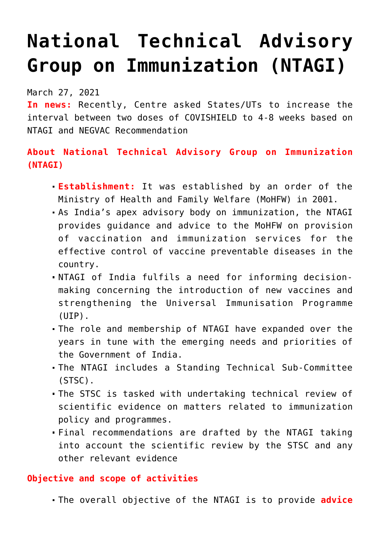# **[National Technical Advisory](https://journalsofindia.com/national-technical-advisory-group-on-immunization-ntagi/) [Group on Immunization \(NTAGI\)](https://journalsofindia.com/national-technical-advisory-group-on-immunization-ntagi/)**

March 27, 2021

**In news:** Recently, Centre asked States/UTs to increase the interval between two doses of COVISHIELD to 4-8 weeks based on NTAGI and NEGVAC Recommendation

## **About National Technical Advisory Group on Immunization (NTAGI)**

- **Establishment:** It was established by an order of the Ministry of Health and Family Welfare (MoHFW) in 2001.
- As India's apex advisory body on immunization, the NTAGI provides guidance and advice to the MoHFW on provision of vaccination and immunization services for the effective control of vaccine preventable diseases in the country.
- NTAGI of India fulfils a need for informing decisionmaking concerning the introduction of new vaccines and strengthening the Universal Immunisation Programme (UIP).
- The role and membership of NTAGI have expanded over the years in tune with the emerging needs and priorities of the Government of India.
- The NTAGI includes a Standing Technical Sub-Committee (STSC).
- The STSC is tasked with undertaking technical review of scientific evidence on matters related to immunization policy and programmes.
- Final recommendations are drafted by the NTAGI taking into account the scientific review by the STSC and any other relevant evidence

### **Objective and scope of activities**

The overall objective of the NTAGI is to provide **advice**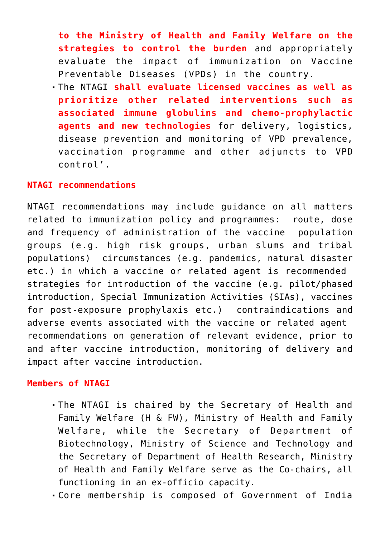**to the Ministry of Health and Family Welfare on the strategies to control the burden** and appropriately evaluate the impact of immunization on Vaccine Preventable Diseases (VPDs) in the country.

The NTAGI **shall evaluate licensed vaccines as well as prioritize other related interventions such as associated immune globulins and chemo-prophylactic agents and new technologies** for delivery, logistics, disease prevention and monitoring of VPD prevalence, vaccination programme and other adjuncts to VPD control'.

#### **NTAGI recommendations**

NTAGI recommendations may include guidance on all matters related to immunization policy and programmes: route, dose and frequency of administration of the vaccine population groups (e.g. high risk groups, urban slums and tribal populations) circumstances (e.g. pandemics, natural disaster etc.) in which a vaccine or related agent is recommended strategies for introduction of the vaccine (e.g. pilot/phased introduction, Special Immunization Activities (SIAs), vaccines for post-exposure prophylaxis etc.) contraindications and adverse events associated with the vaccine or related agent recommendations on generation of relevant evidence, prior to and after vaccine introduction, monitoring of delivery and impact after vaccine introduction.

#### **Members of NTAGI**

- The NTAGI is chaired by the Secretary of Health and Family Welfare (H & FW), Ministry of Health and Family Welfare, while the Secretary of Department of Biotechnology, Ministry of Science and Technology and the Secretary of Department of Health Research, Ministry of Health and Family Welfare serve as the Co-chairs, all functioning in an ex-officio capacity.
- Core membership is composed of Government of India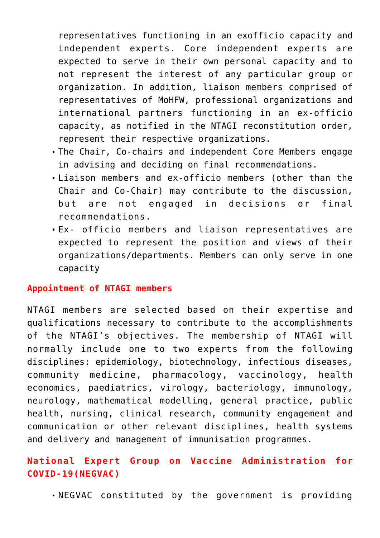representatives functioning in an exofficio capacity and independent experts. Core independent experts are expected to serve in their own personal capacity and to not represent the interest of any particular group or organization. In addition, liaison members comprised of representatives of MoHFW, professional organizations and international partners functioning in an ex-officio capacity, as notified in the NTAGI reconstitution order, represent their respective organizations.

- The Chair, Co-chairs and independent Core Members engage in advising and deciding on final recommendations.
- Liaison members and ex-officio members (other than the Chair and Co-Chair) may contribute to the discussion, but are not engaged in decisions or final recommendations.
- Ex- officio members and liaison representatives are expected to represent the position and views of their organizations/departments. Members can only serve in one capacity

#### **Appointment of NTAGI members**

NTAGI members are selected based on their expertise and qualifications necessary to contribute to the accomplishments of the NTAGI's objectives. The membership of NTAGI will normally include one to two experts from the following disciplines: epidemiology, biotechnology, infectious diseases, community medicine, pharmacology, vaccinology, health economics, paediatrics, virology, bacteriology, immunology, neurology, mathematical modelling, general practice, public health, nursing, clinical research, community engagement and communication or other relevant disciplines, health systems and delivery and management of immunisation programmes.

## **National Expert Group on Vaccine Administration for COVID-19(NEGVAC)**

NEGVAC constituted by the government is providing